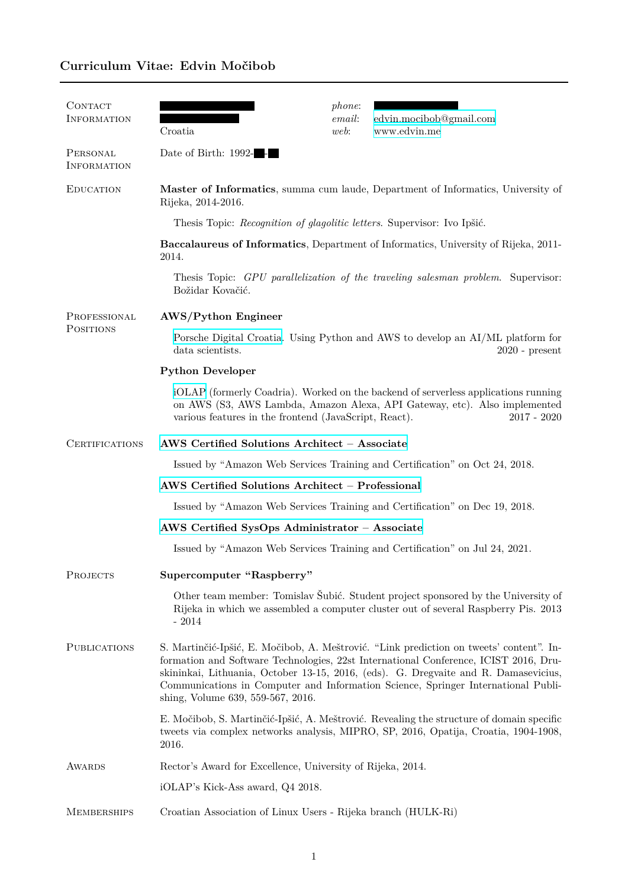## **Curriculum Vitae: Edvin Močibob**

| <b>CONTACT</b><br><b>INFORMATION</b> | Croatia                                                                                                                                                                                                                                                                                                                                                                                          | phone:<br>email:<br>web: | edvin.mocibob@gmail.com<br>www.edvin.me |  |
|--------------------------------------|--------------------------------------------------------------------------------------------------------------------------------------------------------------------------------------------------------------------------------------------------------------------------------------------------------------------------------------------------------------------------------------------------|--------------------------|-----------------------------------------|--|
| PERSONAL<br><b>INFORMATION</b>       | Date of Birth: 1992-                                                                                                                                                                                                                                                                                                                                                                             |                          |                                         |  |
| <b>EDUCATION</b>                     | Master of Informatics, summa cum laude, Department of Informatics, University of<br>Rijeka, 2014-2016.                                                                                                                                                                                                                                                                                           |                          |                                         |  |
|                                      | Thesis Topic: <i>Recognition of glagolitic letters</i> . Supervisor: Ivo Ipšić.                                                                                                                                                                                                                                                                                                                  |                          |                                         |  |
|                                      | Baccalaureus of Informatics, Department of Informatics, University of Rijeka, 2011-<br>2014.                                                                                                                                                                                                                                                                                                     |                          |                                         |  |
|                                      | Thesis Topic: GPU parallelization of the traveling salesman problem. Supervisor:<br>Božidar Kovačić.                                                                                                                                                                                                                                                                                             |                          |                                         |  |
| PROFESSIONAL<br><b>POSITIONS</b>     | AWS/Python Engineer                                                                                                                                                                                                                                                                                                                                                                              |                          |                                         |  |
|                                      | Porsche Digital Croatia. Using Python and AWS to develop an AI/ML platform for<br>data scientists.<br>$2020$ - present                                                                                                                                                                                                                                                                           |                          |                                         |  |
|                                      | <b>Python Developer</b>                                                                                                                                                                                                                                                                                                                                                                          |                          |                                         |  |
|                                      | iOLAP (formerly Coadria). Worked on the backend of serverless applications running<br>on AWS (S3, AWS Lambda, Amazon Alexa, API Gateway, etc). Also implemented<br>various features in the frontend (JavaScript, React).<br>$2017 - 2020$                                                                                                                                                        |                          |                                         |  |
| <b>CERTIFICATIONS</b>                | AWS Certified Solutions Architect - Associate                                                                                                                                                                                                                                                                                                                                                    |                          |                                         |  |
|                                      | Issued by "Amazon Web Services Training and Certification" on Oct 24, 2018.                                                                                                                                                                                                                                                                                                                      |                          |                                         |  |
|                                      | AWS Certified Solutions Architect - Professional                                                                                                                                                                                                                                                                                                                                                 |                          |                                         |  |
|                                      | Issued by "Amazon Web Services Training and Certification" on Dec 19, 2018.                                                                                                                                                                                                                                                                                                                      |                          |                                         |  |
|                                      | AWS Certified SysOps Administrator - Associate                                                                                                                                                                                                                                                                                                                                                   |                          |                                         |  |
|                                      | Issued by "Amazon Web Services Training and Certification" on Jul 24, 2021.                                                                                                                                                                                                                                                                                                                      |                          |                                         |  |
| PROJECTS                             | Supercomputer "Raspberry"                                                                                                                                                                                                                                                                                                                                                                        |                          |                                         |  |
|                                      | Other team member: Tomislav Šubić. Student project sponsored by the University of<br>Rijeka in which we assembled a computer cluster out of several Raspberry Pis. 2013<br>$-2014$                                                                                                                                                                                                               |                          |                                         |  |
| <b>PUBLICATIONS</b>                  | S. Martinčić-Ipšić, E. Močibob, A. Meštrović. "Link prediction on tweets' content". In-<br>formation and Software Technologies, 22st International Conference, ICIST 2016, Dru-<br>skininkai, Lithuania, October 13-15, 2016, (eds). G. Dregvaite and R. Damasevicius,<br>Communications in Computer and Information Science, Springer International Publi-<br>shing, Volume 639, 559-567, 2016. |                          |                                         |  |
|                                      | E. Močibob, S. Martinčić-Ipšić, A. Meštrović. Revealing the structure of domain specific<br>tweets via complex networks analysis, MIPRO, SP, 2016, Opatija, Croatia, 1904-1908,<br>2016.                                                                                                                                                                                                         |                          |                                         |  |
| <b>AWARDS</b>                        | Rector's Award for Excellence, University of Rijeka, 2014.                                                                                                                                                                                                                                                                                                                                       |                          |                                         |  |
|                                      | iOLAP's Kick-Ass award, Q4 2018.                                                                                                                                                                                                                                                                                                                                                                 |                          |                                         |  |
| <b>MEMBERSHIPS</b>                   | Croatian Association of Linux Users - Rijeka branch (HULK-Ri)                                                                                                                                                                                                                                                                                                                                    |                          |                                         |  |